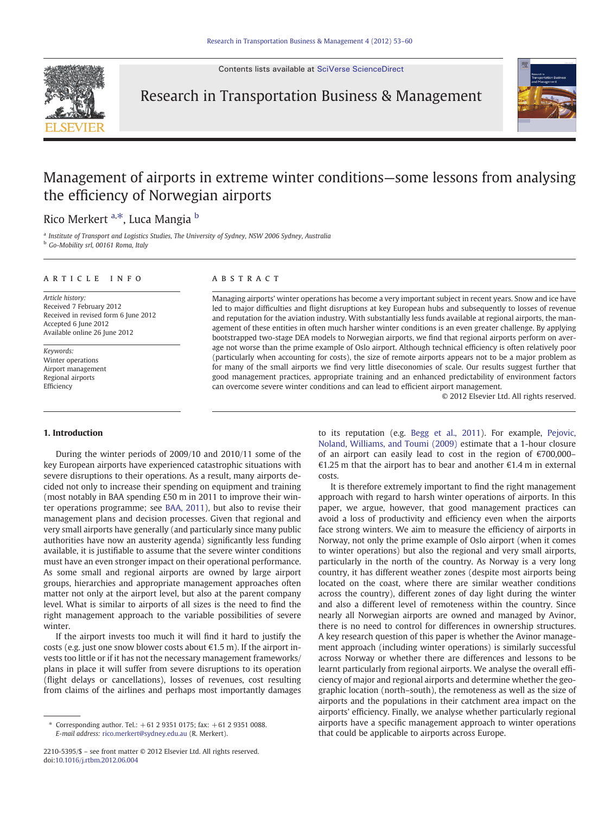Contents lists available at [SciVerse ScienceDirect](http://www.sciencedirect.com/science/journal/)



Research in Transportation Business & Management



## Management of airports in extreme winter conditions—some lessons from analysing the efficiency of Norwegian airports

## Rico Merkert <sup>a,\*</sup>, Luca Mangia <sup>b</sup>

<sup>a</sup> Institute of Transport and Logistics Studies, The University of Sydney, NSW 2006 Sydney, Australia <sup>b</sup> Go-Mobility srl, 00161 Roma, Italy

### article info abstract

Article history: Received 7 February 2012 Received in revised form 6 June 2012 Accepted 6 June 2012 Available online 26 June 2012

Keywords: Winter operations Airport management Regional airports Efficiency

### 1. Introduction

During the winter periods of 2009/10 and 2010/11 some of the key European airports have experienced catastrophic situations with severe disruptions to their operations. As a result, many airports decided not only to increase their spending on equipment and training (most notably in BAA spending £50 m in 2011 to improve their winter operations programme; see [BAA, 2011\)](#page--1-0), but also to revise their management plans and decision processes. Given that regional and very small airports have generally (and particularly since many public authorities have now an austerity agenda) significantly less funding available, it is justifiable to assume that the severe winter conditions must have an even stronger impact on their operational performance. As some small and regional airports are owned by large airport groups, hierarchies and appropriate management approaches often matter not only at the airport level, but also at the parent company level. What is similar to airports of all sizes is the need to find the right management approach to the variable possibilities of severe winter.

If the airport invests too much it will find it hard to justify the costs (e.g. just one snow blower costs about €1.5 m). If the airport invests too little or if it has not the necessary management frameworks/ plans in place it will suffer from severe disruptions to its operation (flight delays or cancellations), losses of revenues, cost resulting from claims of the airlines and perhaps most importantly damages

Managing airports' winter operations has become a very important subject in recent years. Snow and ice have led to major difficulties and flight disruptions at key European hubs and subsequently to losses of revenue and reputation for the aviation industry. With substantially less funds available at regional airports, the management of these entities in often much harsher winter conditions is an even greater challenge. By applying bootstrapped two-stage DEA models to Norwegian airports, we find that regional airports perform on average not worse than the prime example of Oslo airport. Although technical efficiency is often relatively poor (particularly when accounting for costs), the size of remote airports appears not to be a major problem as for many of the small airports we find very little diseconomies of scale. Our results suggest further that good management practices, appropriate training and an enhanced predictability of environment factors can overcome severe winter conditions and can lead to efficient airport management.

© 2012 Elsevier Ltd. All rights reserved.

to its reputation (e.g. [Begg et al., 2011\)](#page--1-0). For example, [Pejovic,](#page--1-0) [Noland, Williams, and Toumi \(2009\)](#page--1-0) estimate that a 1-hour closure of an airport can easily lead to cost in the region of €700,000– €1.25 m that the airport has to bear and another €1.4 m in external costs.

It is therefore extremely important to find the right management approach with regard to harsh winter operations of airports. In this paper, we argue, however, that good management practices can avoid a loss of productivity and efficiency even when the airports face strong winters. We aim to measure the efficiency of airports in Norway, not only the prime example of Oslo airport (when it comes to winter operations) but also the regional and very small airports, particularly in the north of the country. As Norway is a very long country, it has different weather zones (despite most airports being located on the coast, where there are similar weather conditions across the country), different zones of day light during the winter and also a different level of remoteness within the country. Since nearly all Norwegian airports are owned and managed by Avinor, there is no need to control for differences in ownership structures. A key research question of this paper is whether the Avinor management approach (including winter operations) is similarly successful across Norway or whether there are differences and lessons to be learnt particularly from regional airports. We analyse the overall efficiency of major and regional airports and determine whether the geographic location (north–south), the remoteness as well as the size of airports and the populations in their catchment area impact on the airports' efficiency. Finally, we analyse whether particularly regional airports have a specific management approach to winter operations that could be applicable to airports across Europe.

Corresponding author. Tel.:  $+61$  2 9351 0175; fax:  $+61$  2 9351 0088. E-mail address: [rico.merkert@sydney.edu.au](mailto:rico.merkert@sydney.edu.au) (R. Merkert).

<sup>2210-5395/\$</sup> – see front matter © 2012 Elsevier Ltd. All rights reserved. doi:[10.1016/j.rtbm.2012.06.004](http://dx.doi.org/10.1016/j.rtbm.2012.06.004)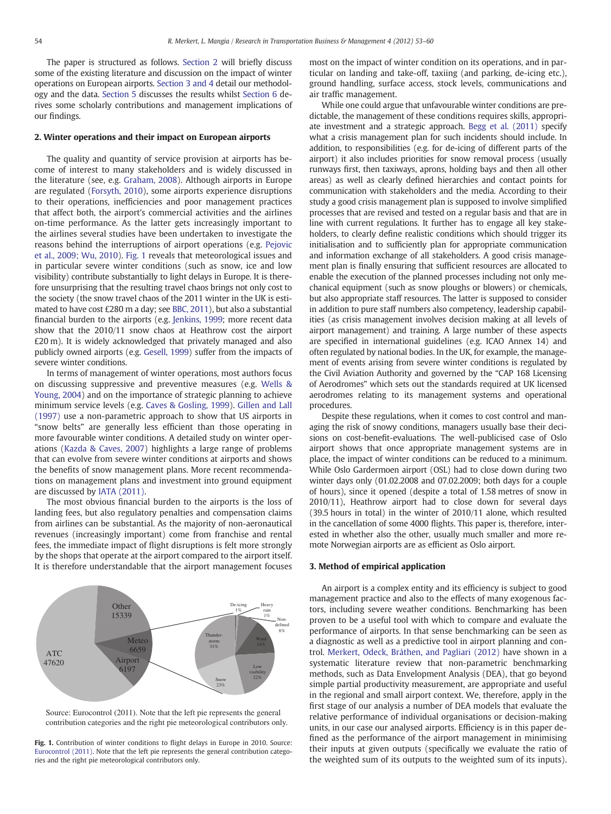The paper is structured as follows. Section 2 will briefly discuss some of the existing literature and discussion on the impact of winter operations on European airports. Section 3 and 4 detail our methodology and the data. [Section 5](#page--1-0) discusses the results whilst [Section 6](#page--1-0) derives some scholarly contributions and management implications of our findings.

### 2. Winter operations and their impact on European airports

The quality and quantity of service provision at airports has become of interest to many stakeholders and is widely discussed in the literature (see, e.g. [Graham, 2008\)](#page--1-0). Although airports in Europe are regulated [\(Forsyth, 2010](#page--1-0)), some airports experience disruptions to their operations, inefficiencies and poor management practices that affect both, the airport's commercial activities and the airlines on-time performance. As the latter gets increasingly important to the airlines several studies have been undertaken to investigate the reasons behind the interruptions of airport operations (e.g. [Pejovic](#page--1-0) [et al., 2009; Wu, 2010\)](#page--1-0). Fig. 1 reveals that meteorological issues and in particular severe winter conditions (such as snow, ice and low visibility) contribute substantially to light delays in Europe. It is therefore unsurprising that the resulting travel chaos brings not only cost to the society (the snow travel chaos of the 2011 winter in the UK is estimated to have cost £280 m a day; see [BBC, 2011](#page--1-0)), but also a substantial financial burden to the airports (e.g. [Jenkins, 1999;](#page--1-0) more recent data show that the 2010/11 snow chaos at Heathrow cost the airport £20 m). It is widely acknowledged that privately managed and also publicly owned airports (e.g. [Gesell, 1999\)](#page--1-0) suffer from the impacts of severe winter conditions.

In terms of management of winter operations, most authors focus on discussing suppressive and preventive measures (e.g. [Wells &](#page--1-0) [Young, 2004](#page--1-0)) and on the importance of strategic planning to achieve minimum service levels (e.g. [Caves & Gosling, 1999\)](#page--1-0). [Gillen and Lall](#page--1-0) [\(1997\)](#page--1-0) use a non-parametric approach to show that US airports in "snow belts" are generally less efficient than those operating in more favourable winter conditions. A detailed study on winter operations ([Kazda & Caves, 2007\)](#page--1-0) highlights a large range of problems that can evolve from severe winter conditions at airports and shows the benefits of snow management plans. More recent recommendations on management plans and investment into ground equipment are discussed by [IATA \(2011\).](#page--1-0)

The most obvious financial burden to the airports is the loss of landing fees, but also regulatory penalties and compensation claims from airlines can be substantial. As the majority of non-aeronautical revenues (increasingly important) come from franchise and rental fees, the immediate impact of flight disruptions is felt more strongly by the shops that operate at the airport compared to the airport itself. It is therefore understandable that the airport management focuses



Source: Eurocontrol (2011). Note that the left pie represents the general contribution categories and the right pie meteorological contributors only.

Fig. 1. Contribution of winter conditions to flight delays in Europe in 2010. Source: [Eurocontrol \(2011\)](#page--1-0). Note that the left pie represents the general contribution categories and the right pie meteorological contributors only.

most on the impact of winter condition on its operations, and in particular on landing and take-off, taxiing (and parking, de-icing etc.), ground handling, surface access, stock levels, communications and air traffic management.

While one could argue that unfavourable winter conditions are predictable, the management of these conditions requires skills, appropriate investment and a strategic approach. [Begg et al. \(2011\)](#page--1-0) specify what a crisis management plan for such incidents should include. In addition, to responsibilities (e.g. for de-icing of different parts of the airport) it also includes priorities for snow removal process (usually runways first, then taxiways, aprons, holding bays and then all other areas) as well as clearly defined hierarchies and contact points for communication with stakeholders and the media. According to their study a good crisis management plan is supposed to involve simplified processes that are revised and tested on a regular basis and that are in line with current regulations. It further has to engage all key stakeholders, to clearly define realistic conditions which should trigger its initialisation and to sufficiently plan for appropriate communication and information exchange of all stakeholders. A good crisis management plan is finally ensuring that sufficient resources are allocated to enable the execution of the planned processes including not only mechanical equipment (such as snow ploughs or blowers) or chemicals, but also appropriate staff resources. The latter is supposed to consider in addition to pure staff numbers also competency, leadership capabilities (as crisis management involves decision making at all levels of airport management) and training. A large number of these aspects are specified in international guidelines (e.g. ICAO Annex 14) and often regulated by national bodies. In the UK, for example, the management of events arising from severe winter conditions is regulated by the Civil Aviation Authority and governed by the "CAP 168 Licensing of Aerodromes" which sets out the standards required at UK licensed aerodromes relating to its management systems and operational procedures.

Despite these regulations, when it comes to cost control and managing the risk of snowy conditions, managers usually base their decisions on cost-benefit-evaluations. The well-publicised case of Oslo airport shows that once appropriate management systems are in place, the impact of winter conditions can be reduced to a minimum. While Oslo Gardermoen airport (OSL) had to close down during two winter days only (01.02.2008 and 07.02.2009; both days for a couple of hours), since it opened (despite a total of 1.58 metres of snow in 2010/11), Heathrow airport had to close down for several days (39.5 hours in total) in the winter of 2010/11 alone, which resulted in the cancellation of some 4000 flights. This paper is, therefore, interested in whether also the other, usually much smaller and more remote Norwegian airports are as efficient as Oslo airport.

### 3. Method of empirical application

An airport is a complex entity and its efficiency is subject to good management practice and also to the effects of many exogenous factors, including severe weather conditions. Benchmarking has been proven to be a useful tool with which to compare and evaluate the performance of airports. In that sense benchmarking can be seen as a diagnostic as well as a predictive tool in airport planning and control. [Merkert, Odeck, Bråthen, and Pagliari \(2012\)](#page--1-0) have shown in a systematic literature review that non-parametric benchmarking methods, such as Data Envelopment Analysis (DEA), that go beyond simple partial productivity measurement, are appropriate and useful in the regional and small airport context. We, therefore, apply in the first stage of our analysis a number of DEA models that evaluate the relative performance of individual organisations or decision-making units, in our case our analysed airports. Efficiency is in this paper defined as the performance of the airport management in minimising their inputs at given outputs (specifically we evaluate the ratio of the weighted sum of its outputs to the weighted sum of its inputs).